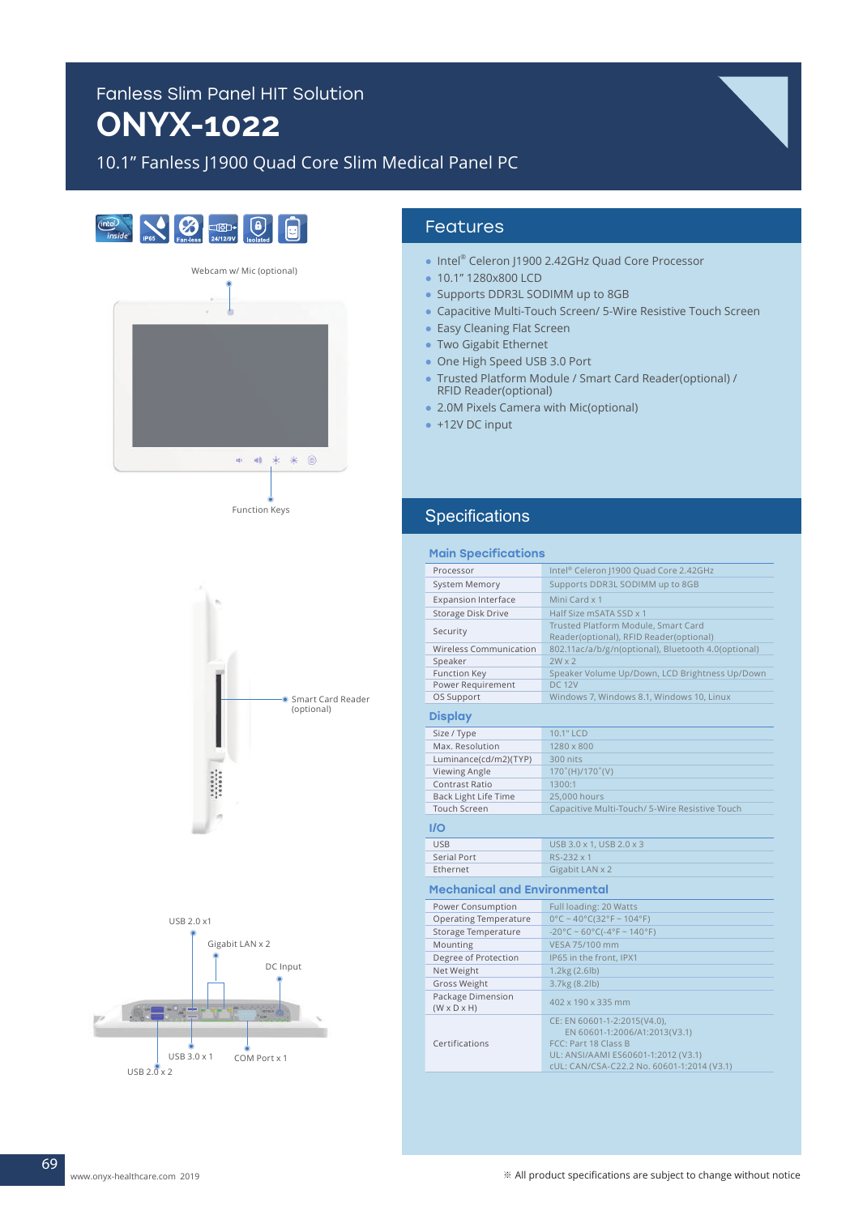# Fanless Slim Panel HIT Solution **ONYX-1022**

# 10.1" Fanless J1900 Quad Core Slim Medical Panel PC











## Features

- Intel® Celeron J1900 2.42GHz Quad Core Processor
- 10.1" 1280x800 LCD
- Supports DDR3L SODIMM up to 8GB
- Capacitive Multi-Touch Screen/ 5-Wire Resistive Touch Screen
- Easy Cleaning Flat Screen
- Two Gigabit Ethernet
- One High Speed USB 3.0 Port
- Trusted Platform Module / Smart Card Reader(optional) / RFID Reader(optional)
- 2.0M Pixels Camera with Mic(optional)
- $\bullet$  +12V DC input

#### **Specifications**

| <b>Main Specifications</b>                   |                                                                                                                                                                            |
|----------------------------------------------|----------------------------------------------------------------------------------------------------------------------------------------------------------------------------|
| Processor                                    | Intel® Celeron J1900 Quad Core 2.42GHz                                                                                                                                     |
| System Memory                                | Supports DDR3L SODIMM up to 8GB                                                                                                                                            |
| <b>Expansion Interface</b>                   | Mini Card x 1                                                                                                                                                              |
| Storage Disk Drive                           | Half Size mSATA SSD x 1                                                                                                                                                    |
| Security                                     | Trusted Platform Module, Smart Card                                                                                                                                        |
|                                              | Reader(optional), RFID Reader(optional)                                                                                                                                    |
| Wireless Communication                       | 802.11ac/a/b/g/n(optional), Bluetooth 4.0(optional)                                                                                                                        |
| Speaker                                      | $2W \times 2$                                                                                                                                                              |
| Function Key                                 | Speaker Volume Up/Down, LCD Brightness Up/Down                                                                                                                             |
| Power Requirement                            | <b>DC 12V</b>                                                                                                                                                              |
| OS Support                                   | Windows 7, Windows 8.1, Windows 10, Linux                                                                                                                                  |
| <b>Display</b>                               |                                                                                                                                                                            |
| Size / Type                                  | 10.1" LCD                                                                                                                                                                  |
| Max. Resolution                              | 1280 x 800                                                                                                                                                                 |
| Luminance(cd/m2)(TYP)                        | 300 nits                                                                                                                                                                   |
| Viewing Angle                                | 170°(H)/170°(V)                                                                                                                                                            |
| <b>Contrast Ratio</b>                        | 1300:1                                                                                                                                                                     |
| Back Light Life Time                         | 25,000 hours                                                                                                                                                               |
| <b>Touch Screen</b>                          | Capacitive Multi-Touch/ 5-Wire Resistive Touch                                                                                                                             |
| I/O                                          |                                                                                                                                                                            |
| <b>USB</b>                                   | USB 3.0 x 1, USB 2.0 x 3                                                                                                                                                   |
| <b>Serial Port</b>                           | RS-232 x 1                                                                                                                                                                 |
| Ethernet                                     | Gigabit LAN x 2                                                                                                                                                            |
| <b>Mechanical and Environmental</b>          |                                                                                                                                                                            |
| Power Consumption                            | Full loading: 20 Watts                                                                                                                                                     |
| <b>Operating Temperature</b>                 | $0^{\circ}$ C ~ 40°C(32°F ~ 104°F)                                                                                                                                         |
| Storage Temperature                          | $-20^{\circ}$ C ~ 60°C( $-4^{\circ}$ F ~ 140°F)                                                                                                                            |
| Mounting                                     | VESA 75/100 mm                                                                                                                                                             |
| Degree of Protection                         | IP65 in the front, IPX1                                                                                                                                                    |
| Net Weight                                   | 1.2kg (2.6lb)                                                                                                                                                              |
| <b>Gross Weight</b>                          | 3.7kg (8.2lb)                                                                                                                                                              |
| Package Dimension<br>$(W \times D \times H)$ | 402 x 190 x 335 mm                                                                                                                                                         |
| Certifications                               | CE: EN 60601-1-2:2015(V4.0),<br>EN 60601-1:2006/A1:2013(V3.1)<br>FCC: Part 18 Class B<br>UL: ANSI/AAMI ES60601-1:2012 (V3.1)<br>cUL: CAN/CSA-C22.2 No. 60601-1:2014 (V3.1) |
|                                              |                                                                                                                                                                            |

69